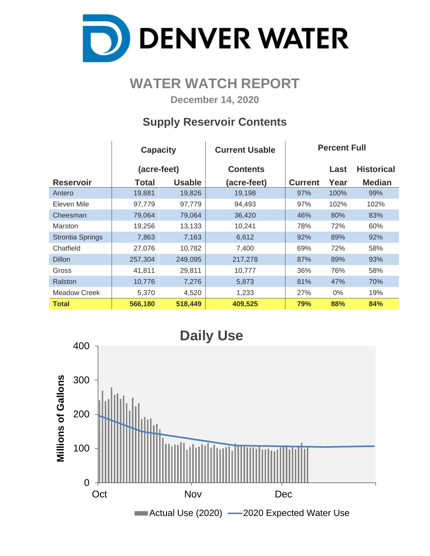

# **WATER WATCH REPORT**

**December 14, 2020**

## **Supply Reservoir Contents**

|                         | <b>Capacity</b> |               | <b>Current Usable</b> | <b>Percent Full</b> |       |                   |  |  |  |
|-------------------------|-----------------|---------------|-----------------------|---------------------|-------|-------------------|--|--|--|
|                         | (acre-feet)     |               | <b>Contents</b>       |                     | Last  | <b>Historical</b> |  |  |  |
| <b>Reservoir</b>        | Total           | <b>Usable</b> | (acre-feet)           | <b>Current</b>      | Year  | <b>Median</b>     |  |  |  |
| Antero                  | 19,881          | 19,826        | 19,198                | 97%                 | 100%  | 99%               |  |  |  |
| Eleven Mile             | 97,779          | 97,779        | 94,493                | 97%                 | 102%  | 102%              |  |  |  |
| Cheesman                | 79,064          | 79,064        | 36,420                | 46%                 | 80%   | 83%               |  |  |  |
| <b>Marston</b>          | 19,256          | 13,133        | 10,241                | 78%                 | 72%   | 60%               |  |  |  |
| <b>Strontia Springs</b> | 7,863           | 7,163         | 6,612                 | 92%                 | 89%   | 92%               |  |  |  |
| Chatfield               | 27,076          | 10,782        | 7,400                 | 69%                 | 72%   | 58%               |  |  |  |
| <b>Dillon</b>           | 257,304         | 249,095       | 217,278               | 87%                 | 89%   | 93%               |  |  |  |
| Gross                   | 41,811          | 29,811        | 10,777                | 36%                 | 76%   | 58%               |  |  |  |
| Ralston                 | 10,776          | 7,276         | 5,873                 | 81%                 | 47%   | 70%               |  |  |  |
| Meadow Creek            | 5,370           | 4,520         | 1,233                 | 27%                 | $0\%$ | 19%               |  |  |  |
| <b>Total</b>            | 566,180         | 518,449       | 409,525               | 79%                 | 88%   | 84%               |  |  |  |

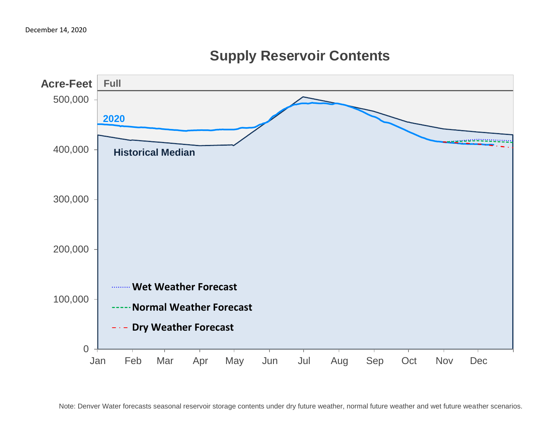

# **Supply Reservoir Contents**

Note: Denver Water forecasts seasonal reservoir storage contents under dry future weather, normal future weather and wet future weather scenarios.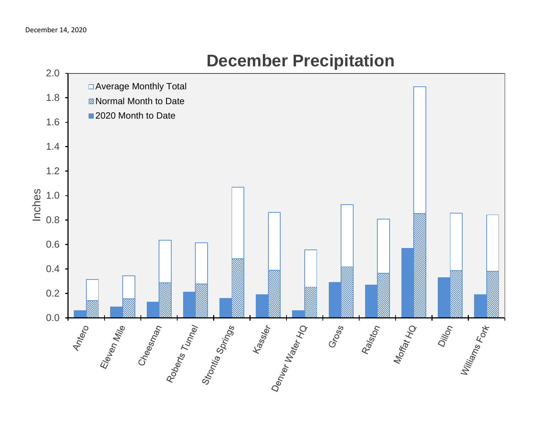

# **December Precipitation**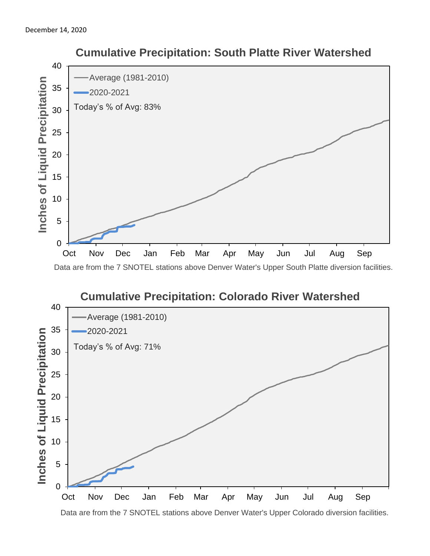



Data are from the 7 SNOTEL stations above Denver Water's Upper Colorado diversion facilities.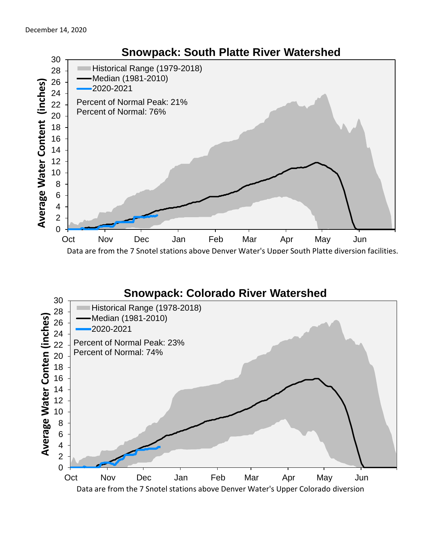

### **Snowpack: Colorado River Watershed**

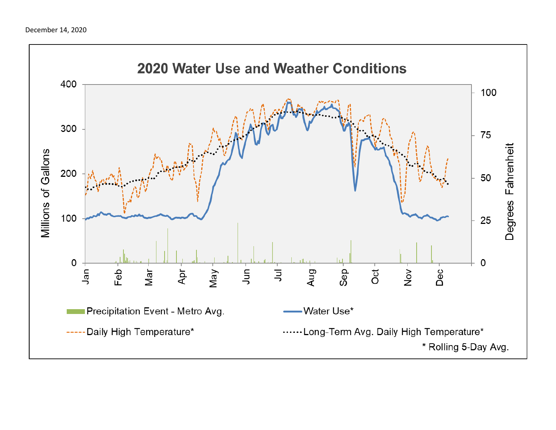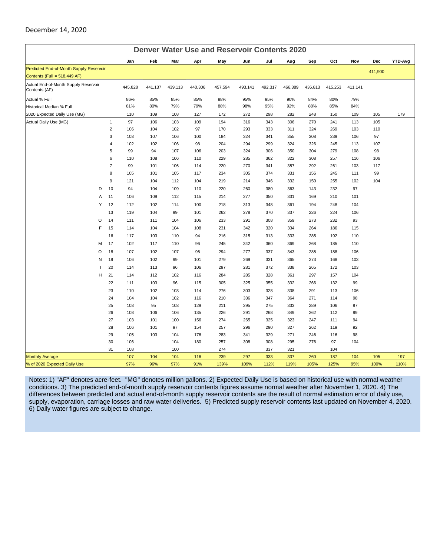#### December 14, 2020

| <b>Denver Water Use and Reservoir Contents 2020</b>   |                         |            |            |           |            |            |            |            |            |            |            |            |         |         |
|-------------------------------------------------------|-------------------------|------------|------------|-----------|------------|------------|------------|------------|------------|------------|------------|------------|---------|---------|
|                                                       |                         | Jan        | Feb        | Mar       | Apr        | May        | Jun        | Jul        | Aug        | Sep        | Oct        | Nov        | Dec     | YTD-Avg |
| Predicted End-of-Month Supply Reservoir               |                         |            |            |           |            |            |            |            |            |            |            |            | 411,900 |         |
| Contents (Full = 518,449 AF)                          |                         |            |            |           |            |            |            |            |            |            |            |            |         |         |
| Actual End-of-Month Supply Reservoir<br>Contents (AF) |                         | 445,828    | 441,137    | 439,113   | 440,306    | 457,594    | 493,141    | 492,317    | 466,389    | 436,813    | 415,253    | 411,141    |         |         |
| Actual % Full                                         |                         | 86%        | 85%        | 85%       | 85%        | 88%        | 95%        | 95%        | 90%        | 84%        | 80%        | 79%        |         |         |
| Historical Median % Full                              |                         | 81%        | 80%        | 79%       | 79%        | 88%        | 98%        | 95%        | 92%        | 88%        | 85%        | 84%        |         |         |
| 2020 Expected Daily Use (MG)                          |                         | 110        | 109        | 108       | 127        | 172        | 272        | 298        | 282        | 248        | 150        | 109        | 105     | 179     |
| Actual Daily Use (MG)                                 | $\mathbf{1}$            | 97         | 106        | 103       | 109        | 194        | 316        | 343        | 306        | 270        | 241        | 113        | 105     |         |
|                                                       | $\overline{2}$          | 106        | 104        | 102       | 97         | 170        | 293        | 333        | 311        | 324        | 269        | 103        | 110     |         |
|                                                       | 3                       | 103        | 107        | 106       | 100        | 184        | 324        | 341        | 355        | 308        | 239        | 106        | 97      |         |
|                                                       | $\overline{\mathbf{4}}$ | 102        | 102        | 106       | 98         | 204        | 294        | 299        | 324        | 326        | 245        | 113        | 107     |         |
|                                                       | 5                       | 99         | 94         | 107       | 106        | 203        | 324        | 306        | 350        | 304        | 279        | 108        | 98      |         |
|                                                       | 6                       | 110        | 108        | 106       | 110        | 229        | 285        | 362        | 322        | 308        | 257        | 116        | 106     |         |
|                                                       | $\overline{7}$          | 99         | 101        | 106       | 114<br>117 | 220        | 270        | 341        | 357        | 292<br>156 | 261<br>245 | 103<br>111 | 117     |         |
|                                                       | 8                       | 105        | 101        | 105       |            | 234        | 305        | 374        | 331        |            |            |            | 99      |         |
|                                                       | 9                       | 121        | 104        | 112       | 104        | 219        | 214        | 346        | 332        | 150        | 255        | 102        | 104     |         |
| D                                                     | 10                      | 94         | 104        | 109       | 110        | 220        | 260        | 380        | 363        | 143        | 232        | 97         |         |         |
| A                                                     | 11                      | 106        | 109        | 112       | 115        | 214        | 277        | 350        | 331        | 169        | 210        | 101        |         |         |
| Y                                                     | 12                      | 112        | 102        | 114       | 100        | 218        | 313        | 348        | 361        | 194        | 248        | 104        |         |         |
|                                                       | 13                      | 119        | 104        | 99        | 101        | 262        | 278        | 370        | 337        | 226        | 224        | 106        |         |         |
| O                                                     | 14                      | 111        | 111        | 104       | 106        | 233        | 291        | 308        | 359        | 273        | 232        | 93         |         |         |
| F                                                     | 15                      | 114        | 104        | 104       | 108        | 231        | 342        | 320        | 334        | 264        | 186        | 115        |         |         |
|                                                       | 16                      | 117        | 103        | 110       | 94         | 216        | 315        | 313        | 333        | 285        | 192        | 110        |         |         |
| M                                                     | 17                      | 102        | 117        | 110       | 96         | 245        | 342        | 360        | 369        | 268        | 185        | 110        |         |         |
| O                                                     | 18                      | 107        | 102        | 107       | 96         | 294        | 277        | 337        | 343        | 285        | 188        | 106        |         |         |
| N                                                     | 19                      | 106        | 102        | 99        | 101        | 279        | 269        | 331        | 365        | 273        | 168        | 103        |         |         |
| T                                                     | 20                      | 114        | 113        | 96        | 106        | 297        | 281        | 372        | 338        | 265        | 172        | 103        |         |         |
| H                                                     | 21                      | 114        | 112        | 102       | 116        | 284        | 285        | 328        | 361        | 297        | 157        | 104        |         |         |
|                                                       | 22                      | 111        | 103        | 96        | 115        | 305        | 325        | 355        | 332        | 266        | 132        | 99         |         |         |
|                                                       | 23                      | 110        | 102        | 103       | 114        | 276        | 303        | 328        | 338        | 291        | 113        | 106        |         |         |
|                                                       | 24                      | 104        | 104        | 102       | 116        | 210        | 336        | 347        | 364        | 271        | 114        | 98         |         |         |
|                                                       | 25                      | 103        | 95         | 103       | 129        | 211        | 295        | 275        | 333        | 289        | 106        | 97         |         |         |
|                                                       | 26                      | 108        | 106        | 106       | 135        | 226        | 291        | 268        | 349        | 262        | 112        | 99         |         |         |
|                                                       | 27<br>28                | 103<br>106 | 101<br>101 | 100<br>97 | 156<br>154 | 274<br>257 | 265<br>296 | 325<br>290 | 323<br>327 | 247<br>262 | 111<br>119 | 94<br>92   |         |         |
|                                                       | 29                      | 105        | 103        | 104       | 176        | 283        | 341        | 329        | 271        | 246        | 116        | 98         |         |         |
|                                                       | 30                      | 106        |            | 104       | 180        | 257        | 308        | 308        | 295        | 276        | 97         | 104        |         |         |
|                                                       | 31                      | 108        |            | 100       |            | 274        |            | 337        | 321        |            | 104        |            |         |         |
| <b>Monthly Average</b>                                |                         | 107        | 104        | 104       | 116        | 239        | 297        | 333        | 337        | 260        | 187        | 104        | 105     | 197     |
| % of 2020 Expected Daily Use                          |                         | 97%        | 96%        | 97%       | 91%        | 139%       | 109%       | 112%       | 119%       | 105%       | 125%       | 95%        | 100%    | 110%    |

Notes: 1) "AF" denotes acre-feet. "MG" denotes million gallons. 2) Expected Daily Use is based on historical use with normal weather conditions. 3) The predicted end-of-month supply reservoir contents figures assume normal weather after November 1, 2020. 4) The differences between predicted and actual end-of-month supply reservoir contents are the result of normal estimation error of daily use, supply, evaporation, carriage losses and raw water deliveries. 5) Predicted supply reservoir contents last updated on November 4, 2020. 6) Daily water figures are subject to change.